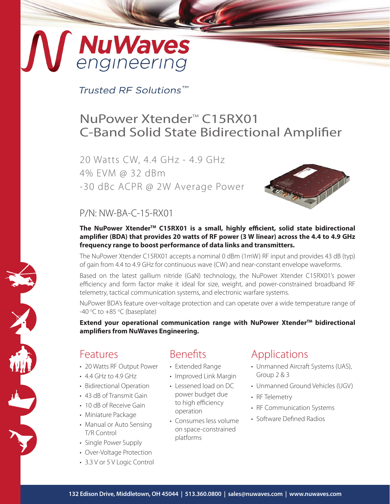# **NuWaves**<br>engineering

Trusted RF Solutions™

# NuPower Xtender<sup>™</sup> C15RX01 C-Band Solid State Bidirectional Amplifier

20 Watts CW, 4.4 GHz - 4.9 GHz 4% EVM @ 32 dBm -30 dBc ACPR @ 2W Average Power



## P/N: NW-BA-C-15-RX01

The NuPower Xtender<sup>™</sup> C15RX01 is a small, highly efficient, solid state bidirectional **amplifier (BDA) that provides 20 watts of RF power (3 W linear) across the 4.4 to 4.9 GHz frequency range to boost performance of data links and transmitters.**

The NuPower Xtender C15RX01 accepts a nominal 0 dBm (1mW) RF input and provides 43 dB (typ) of gain from 4.4 to 4.9 GHz for continuous wave (CW) and near-constant envelope waveforms.

Based on the latest gallium nitride (GaN) technology, the NuPower Xtender C15RX01's power efficiency and form factor make it ideal for size, weight, and power-constrained broadband RF telemetry, tactical communication systems, and electronic warfare systems.

NuPower BDA's feature over-voltage protection and can operate over a wide temperature range of -40 $\degree$ C to +85 $\degree$ C (baseplate)

**Extend your operational communication range with NuPower Xtender™ bidirectional amplifiers from NuWaves Engineering.**

## Features

- 20 Watts RF Output Power
- 4.4 GHz to 4.9 GHz
- Bidirectional Operation
- 43 dB of Transmit Gain
- 10 dB of Receive Gain
- Miniature Package
- Manual or Auto Sensing T/R Control
- Single Power Supply
- Over-Voltage Protection
- 3.3 V or 5 V Logic Control

## Benefits

- Extended Range
- Improved Link Margin
- Lessened load on DC power budget due to high efficiency operation
- Consumes less volume on space-constrained platforms

# Applications

- Unmanned Aircraft Systems (UAS), Group 2 & 3
- Unmanned Ground Vehicles (UGV)
- RF Telemetry
- RF Communication Systems
- Software Defined Radios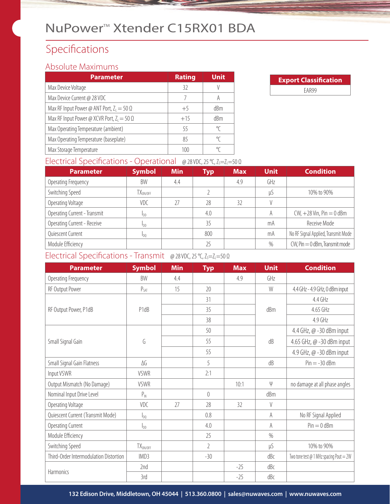# NuPower<sup>™</sup> Xtender C15RX01 BDA

# Specifications

#### Absolute Maximums

| <b>Parameter</b>                                  | <b>Rating</b> | <b>Unit</b> |
|---------------------------------------------------|---------------|-------------|
| Max Device Voltage                                | 32            |             |
| Max Device Current @ 28 VDC                       |               | A           |
| Max RF Input Power @ ANT Port, $Z_1 = 50 \Omega$  | $+5$          | dBm         |
| Max RF Input Power @ XCVR Port, $Z_1 = 50 \Omega$ | $+15$         | dBm         |
| Max Operating Temperature (ambient)               | 55            | °C          |
| Max Operating Temperature (baseplate)             | 85            | °C          |
| Max Storage Temperature                           | 100           | ℃           |

| <b>Export Classification</b> |  |  |  |  |
|------------------------------|--|--|--|--|
| FAR99                        |  |  |  |  |

#### Electrical Specifications - Operational @ 28 VDC, 25 °C, Z<sub>S</sub>=Z<sub>L</sub>=50 Ω

| <b>Parameter</b>             | <b>Symbol</b>        | <b>Min</b> | Typ | <b>Max</b> | <b>Unit</b> | <b>Condition</b>                    |
|------------------------------|----------------------|------------|-----|------------|-------------|-------------------------------------|
| Operating Frequency          | BW                   | 4.4        |     | 4.9        | GHz         |                                     |
| Switching Speed              | TX <sub>ON/OFF</sub> |            |     |            | μS          | 10% to 90%                          |
| Operating Voltage            | <b>VDC</b>           |            | 28  | 32         |             |                                     |
| Operating Current - Transmit | I <sub>DD</sub>      |            | 4.0 |            | A           | $CW, +28$ Vin, Pin $= 0$ dBm        |
| Operating Current - Receive  | Inn                  |            | 35  |            | mA          | Receive Mode                        |
| Quiescent Current            | I <sub>DO</sub>      |            | 800 |            | mA          | No RF Signal Applied, Transmit Mode |
| Module Efficiency            |                      |            | 25  |            | $\%$        | $CW$ , Pin $= 0$ dBm, Transmit mode |

#### Electrical Specifications - Transmit @ 28 VDC, 25 °C, Z<sub>S</sub>=Z<sub>L</sub>=50 Ω

| <b>Parameter</b>                       | <b>Symbol</b> | <b>Min</b> | <b>Typ</b>     | <b>Max</b> | <b>Unit</b> | <b>Condition</b>                         |
|----------------------------------------|---------------|------------|----------------|------------|-------------|------------------------------------------|
| Operating Frequency                    | BW            | 4.4        |                | 4.9        | GHz         |                                          |
| RF Output Power                        | $P_{SAT}$     | 15         | 20             |            | W           | 4.4 GHz - 4.9 GHz, 0 dBm input           |
|                                        |               |            | 31             |            |             | $4.4$ GHz                                |
| RF Output Power, P1dB                  | P1dB          |            | 35             |            | dBm         | 4.65 GHz                                 |
|                                        |               |            | 38             |            |             | 4.9 GHz                                  |
|                                        |               |            | 50             |            |             | 4.4 GHz, @ -30 dBm input                 |
| Small Signal Gain                      | G             |            | 55             |            | dB          | 4.65 GHz, @ -30 dBm input                |
|                                        |               |            | 55             |            |             | 4.9 GHz, @ -30 dBm input                 |
| Small Signal Gain Flatness             | ΔG            |            | 5              |            | dB          | $Pin = -30$ dBm                          |
| Input VSWR                             | VSWR          |            | 2:1            |            |             |                                          |
| Output Mismatch (No Damage)            | VSWR          |            |                | 10:1       | $\psi$      | no damage at all phase angles            |
| Nominal Input Drive Level              | $P_{IN}$      |            | 0              |            | dBm         |                                          |
| Operating Voltage                      | VDC           | 27         | 28             | 32         | $\vee$      |                                          |
| Quiescent Current (Transmit Mode)      | $I_{DQ}$      |            | 0.8            |            | A           | No RF Signal Applied                     |
| <b>Operating Current</b>               | $I_{DD}$      |            | 4.0            |            | A           | $Pin = 0$ dBm                            |
| Module Efficiency                      |               |            | 25             |            | $\%$        |                                          |
| Switching Speed                        | $TX_{ON/OFF}$ |            | $\overline{2}$ |            | $\mu S$     | 10% to 90%                               |
| Third-Order Intermodulation Distortion | IMD3          |            | $-30$          |            | dBc         | Two tone test $@1$ MHz spacing Pout = 2W |
| Harmonics                              | 2nd           |            |                | $-25$      | dBc         |                                          |
|                                        | 3rd           |            |                | $-25$      | dBc         |                                          |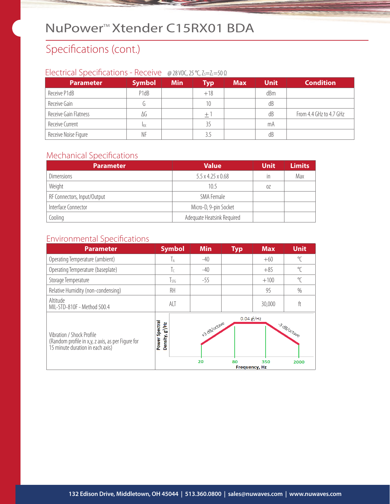# NuPower<sup>™</sup>Xtender C15RX01 BDA

# Specifications (cont.)

#### Electrical Specifications - Receive @ 28 VDC, 25 °C, Z<sub>S</sub>=Z<sub>L</sub>=50 Ω

| <b>Parameter</b>      | <b>Symbol</b>     | <b>Min</b> | <b>Typ</b> | <b>Max</b> | <b>Unit</b> | <b>Condition</b>        |
|-----------------------|-------------------|------------|------------|------------|-------------|-------------------------|
| Receive P1dB          | P <sub>1</sub> dB |            | $+18$      |            | dBm         |                         |
| Receive Gain          |                   |            | 10         |            | dB          |                         |
| Receive Gain Flatness | ΔG                |            | $+$        |            | dB          | From 4.4 GHz to 4.7 GHz |
| Receive Current       | <b>IRX</b>        |            | 35         |            | mA          |                         |
| Receive Noise Figure  | NF                |            |            |            | dB          |                         |

#### Mechanical Specifications

| <b>Parameter</b>            | <b>Value</b>                  | <b>Unit</b> | <b>Limits</b> |
|-----------------------------|-------------------------------|-------------|---------------|
| <b>Dimensions</b>           | $5.5 \times 4.25 \times 0.68$ | in          | Max           |
| Weight                      | 10.5                          | 0Z          |               |
| RF Connectors, Input/Output | SMA Female                    |             |               |
| Interface Connector         | Micro-D, 9-pin Socket         |             |               |
| Cooling                     | Adequate Heatsink Required    |             |               |

### Environmental Specifications

| <b>Parameter</b>                                                                                                   | <b>Symbol</b>                                    | <b>Min</b>         | <b>Typ</b>           | <b>Max</b> | <b>Unit</b>         |
|--------------------------------------------------------------------------------------------------------------------|--------------------------------------------------|--------------------|----------------------|------------|---------------------|
| Operating Temperature (ambient)                                                                                    | Īд                                               | $-40$              |                      | $+60$      | $\mathrm{C}$        |
| Operating Temperature (baseplate)                                                                                  | Τc                                               | $-40$              |                      | $+85$      | °C                  |
| Storage Temperature                                                                                                | $T_{STG}$                                        | $-55$              |                      | $+100$     | $\sqrt{\ }$         |
| Relative Humidity (non-condensing)                                                                                 | RH                                               |                    |                      | 95         | $\%$                |
| Altitude<br>MIL-STD-810F - Method 500.4                                                                            | ALT                                              |                    |                      | 30,000     | ft                  |
| Vibration / Shock Profile<br>(Random profile in x,y, z axis, as per Figure for<br>15 minute duration in each axis) | Spectral<br>Density, g <sup>2</sup> /Hz<br>Power | +3 dB/octave<br>20 | $0.04$ $g$ /Hz<br>80 | 350        | 3 dB/octave<br>2000 |
|                                                                                                                    |                                                  |                    | <b>Frequency, Hz</b> |            |                     |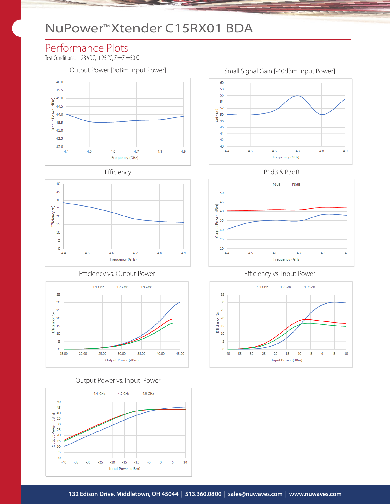# NuPower<sup>™</sup>Xtender C15RX01 BDA

# Performance Plots

Test Conditions:  $+28$  VDC,  $+25$  °C,  $Z_s = Z_L = 50$   $\Omega$ 





#### Efficiency vs. Output Power **Efficiency vs. Input Power**



#### Output Power vs. Input Power





Efficiency P1dB & P3dB





Output Power [0dBm Input Power] Small Signal Gain [-40dBm Input Power]